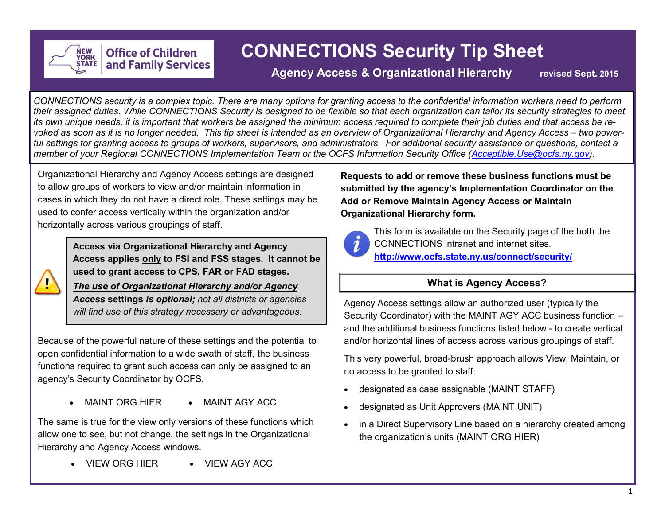

# **CONNECTIONS Security Tip Sheet**

# **Agency Access & Organizational Hierarchy revised Sept. 2015**

*CONNECTIONS security is a complex topic. There are many options for granting access to the confidential information workers need to perform their assigned duties. While CONNECTIONS Security is designed to be flexible so that each organization can tailor its security strategies to meet*  its own unique needs, it is important that workers be assigned the minimum access required to complete their job duties and that access be re*voked as soon as it is no longer needed. This tip sheet is intended as an overview of Organizational Hierarchy and Agency Access – two powerful settings for granting access to groups of workers, supervisors, and administrators. For additional security assistance or questions, contact a member of your Regional CONNECTIONS Implementation Team or the OCFS Information Security Office ([Acceptible.Use@ocfs.ny.gov\)](mailto:Acceptible.Use@ocfs.ny.gov).* 

Organizational Hierarchy and Agency Access settings are designed to allow groups of workers to view and/or maintain information in cases in which they do not have a direct role. These settings may be used to confer access vertically within the organization and/or horizontally across various groupings of staff.

**Office of Children** 

and Family Services



**Access via Organizational Hierarchy and Agency Access applies only to FSI and FSS stages. It cannot be used to grant access to CPS, FAR or FAD stages.**

*The use of Organizational Hierarchy and/or Agency Access* **settings** *is optional; not all districts or agencies will find use of this strategy necessary or advantageous.* 

Because of the powerful nature of these settings and the potential to open confidential information to a wide swath of staff, the business functions required to grant such access can only be assigned to an agency's Security Coordinator by OCFS.

• MAINT ORG HIER • MAINT AGY ACC

The same is true for the view only versions of these functions which allow one to see, but not change, the settings in the Organizational Hierarchy and Agency Access windows.

VIEW ORG HIER VIEW AGY ACC

**Requests to add or remove these business functions must be submitted by the agency's Implementation Coordinator on the Add or Remove Maintain Agency Access or Maintain Organizational Hierarchy form.**



This form is available on the Security page of the both the CONNECTIONS intranet and internet sites. **<http://www.ocfs.state.ny.us/connect/security/>**

# **What is Agency Access?**

Agency Access settings allow an authorized user (typically the Security Coordinator) with the MAINT AGY ACC business function – and the additional business functions listed below - to create vertical and/or horizontal lines of access across various groupings of staff.

This very powerful, broad-brush approach allows View, Maintain, or no access to be granted to staff:

- designated as case assignable (MAINT STAFF)
- designated as Unit Approvers (MAINT UNIT)
- in a Direct Supervisory Line based on a hierarchy created among the organization's units (MAINT ORG HIER)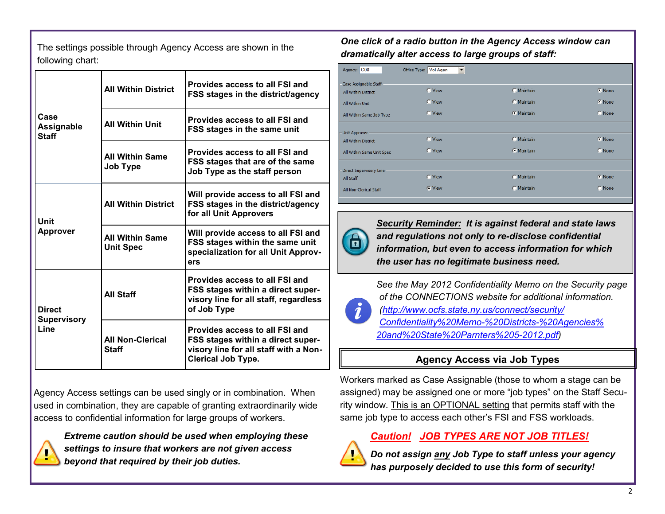The settings possible through Agency Access are shown in the following chart:

|                                    | <b>All Within District</b>                 | Provides access to all FSI and<br>FSS stages in the district/agency                                                                       |  |
|------------------------------------|--------------------------------------------|-------------------------------------------------------------------------------------------------------------------------------------------|--|
| Case<br>Assignable<br><b>Staff</b> | <b>All Within Unit</b>                     | Provides access to all FSI and<br><b>FSS stages in the same unit</b>                                                                      |  |
|                                    | <b>All Within Same</b><br><b>Job Type</b>  | Provides access to all FSI and<br>FSS stages that are of the same<br>Job Type as the staff person                                         |  |
| Unit                               | <b>All Within District</b>                 | Will provide access to all FSI and<br>FSS stages in the district/agency<br>for all Unit Approvers                                         |  |
| <b>Approver</b>                    | <b>All Within Same</b><br><b>Unit Spec</b> | Will provide access to all FSI and<br>FSS stages within the same unit<br>specialization for all Unit Approv-<br>ers                       |  |
| <b>Direct</b>                      | <b>All Staff</b>                           | <b>Provides access to all FSI and</b><br>FSS stages within a direct super-<br>visory line for all staff, regardless<br>of Job Type        |  |
| <b>Supervisory</b><br>Line         | <b>All Non-Clerical</b><br>Staff           | Provides access to all FSI and<br>FSS stages within a direct super-<br>visory line for all staff with a Non-<br><b>Clerical Job Type.</b> |  |

Agency Access settings can be used singly or in combination. When used in combination, they are capable of granting extraordinarily wide access to confidential information for large groups of workers.



*Extreme caution should be used when employing these settings to insure that workers are not given access beyond that required by their job duties.* 

*One click of a radio button in the Agency Access window can dramatically alter access to large groups of staff:*

| Agency: C08               | Office Type: Vol Agen<br>▼ |                   |        |
|---------------------------|----------------------------|-------------------|--------|
| Case Assignable Staff     |                            |                   |        |
| All Within District       | C View                     | C Maintain        | • None |
| All Within Unit           | C View                     | <b>O</b> Maintain | • None |
| All Within Same Job Type  | C View                     | <b>O</b> Maintain | C None |
| Unit Approver             |                            |                   |        |
| All Within District       | C View                     | C Maintain        | C None |
| All Within Same Unit Spec | C View                     | <b>C</b> Maintain | C None |
| Direct Supervisory Line   |                            |                   |        |
| All Staff                 | <b>O</b> View              | <b>O</b> Maintain | C None |
| All Non-Clerical Staff    | C View                     | <b>O</b> Maintain | C None |
|                           |                            |                   |        |

*Security Reminder: It is against federal and state laws and regulations not only to re-disclose confidential information, but even to access information for which the user has no legitimate business need.*

*See the May 2012 Confidentiality Memo on the Security page of the CONNECTIONS website for additional information. [\(http://www.ocfs.state.ny.us/connect/security/](http://www.ocfs.state.ny.us/connect/security/Confidentiality%20Memo-%20Districts-%20Agencies%20and%20State%20Parnters%205-2012.pdf) [Confidentiality%20Memo](http://www.ocfs.state.ny.us/connect/security/Confidentiality%20Memo-%20Districts-%20Agencies%20and%20State%20Parnters%205-2012.pdf)-%20Districts-%20Agencies% [20and%20State%20Parnters%205](http://www.ocfs.state.ny.us/connect/security/Confidentiality%20Memo-%20Districts-%20Agencies%20and%20State%20Parnters%205-2012.pdf)-2012.pdf)* 

# **Agency Access via Job Types**

Workers marked as Case Assignable (those to whom a stage can be assigned) may be assigned one or more "job types" on the Staff Security window. This is an OPTIONAL setting that permits staff with the same job type to access each other's FSI and FSS workloads.

## *Caution! JOB TYPES ARE NOT JOB TITLES!*



*Do not assign any Job Type to staff unless your agency has purposely decided to use this form of security!*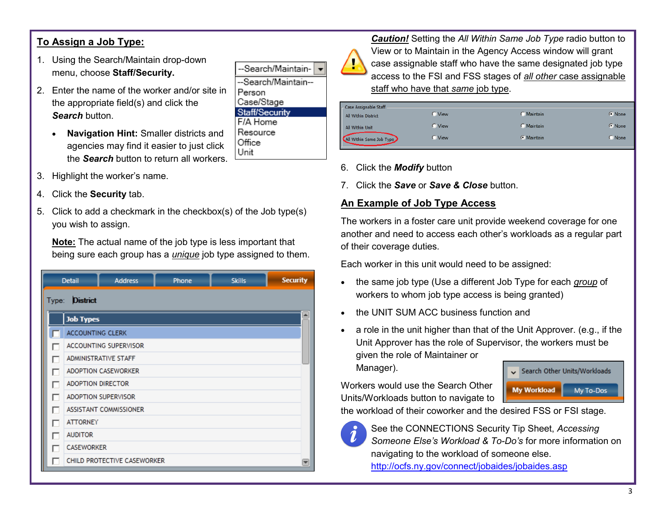# **To Assign a Job Type:**

- 1. Using the Search/Maintain drop-down menu, choose **Staff/Security.**
- 2. Enter the name of the worker and/or site in the appropriate field(s) and click the *Search* button.
	- **Navigation Hint:** Smaller districts and agencies may find it easier to just click the *Search* button to return all workers.
- 3. Highlight the worker's name.
- 4. Click the **Security** tab.
- 5. Click to add a checkmark in the checkbox(s) of the Job type(s) you wish to assign.

**Note:** The actual name of the job type is less important that being sure each group has a *unique* job type assigned to them.

|   | <b>Detail</b>            | <b>Address</b>              | Phone | <b>Skills</b> | <b>Security</b> |  |  |
|---|--------------------------|-----------------------------|-------|---------------|-----------------|--|--|
|   | <b>District</b><br>Type: |                             |       |               |                 |  |  |
|   | <b>Job Types</b>         |                             |       |               |                 |  |  |
|   | <b>ACCOUNTING CLERK</b>  |                             |       |               |                 |  |  |
| П |                          | ACCOUNTING SUPERVISOR       |       |               |                 |  |  |
| г |                          | ADMINISTRATIVE STAFF        |       |               |                 |  |  |
| ┍ |                          | <b>ADOPTION CASEWORKER</b>  |       |               |                 |  |  |
| ⊓ | <b>ADOPTION DIRECTOR</b> |                             |       |               |                 |  |  |
| г |                          | <b>ADOPTION SUPERVISOR</b>  |       |               |                 |  |  |
| г |                          | ASSISTANT COMMISSIONER      |       |               |                 |  |  |
| ┍ | <b>ATTORNEY</b>          |                             |       |               |                 |  |  |
| Г | <b>AUDITOR</b>           |                             |       |               |                 |  |  |
| г | <b>CASEWORKER</b>        |                             |       |               |                 |  |  |
|   |                          | CHILD PROTECTIVE CASEWORKER |       |               | ▼               |  |  |



*Caution!* Setting the *All Within Same Job Type* radio button to View or to Maintain in the Agency Access window will grant case assignable staff who have the same designated job type access to the FSI and FSS stages of *all other* case assignable staff who have that *same* job type.

| Case Assignable Staff    |        |                   |             |
|--------------------------|--------|-------------------|-------------|
| All Within District      | View   | Maintain          | • None      |
| All Within Unit          | O View | <b>Maintain</b>   | • None      |
| All Within Same Job Type | View   | <b>C</b> Maintain | <b>None</b> |

- 6. Click the *Modify* button
- 7. Click the *Save* or *Save & Close* button.

#### **An Example of Job Type Access**

The workers in a foster care unit provide weekend coverage for one another and need to access each other's workloads as a regular part of their coverage duties.

Each worker in this unit would need to be assigned:

- the same job type (Use a different Job Type for each *group* of workers to whom job type access is being granted)
- the UNIT SUM ACC business function and
- a role in the unit higher than that of the Unit Approver. (e.g., if the Unit Approver has the role of Supervisor, the workers must be given the role of Maintainer or Manager).

Workers would use the Search Other Units/Workloads button to navigate to



the workload of their coworker and the desired FSS or FSI stage.



See the CONNECTIONS Security Tip Sheet, *Accessing Someone Else's Workload & To-Do's* for more information on navigating to the workload of someone else. <http://ocfs.ny.gov/connect/jobaides/jobaides.asp>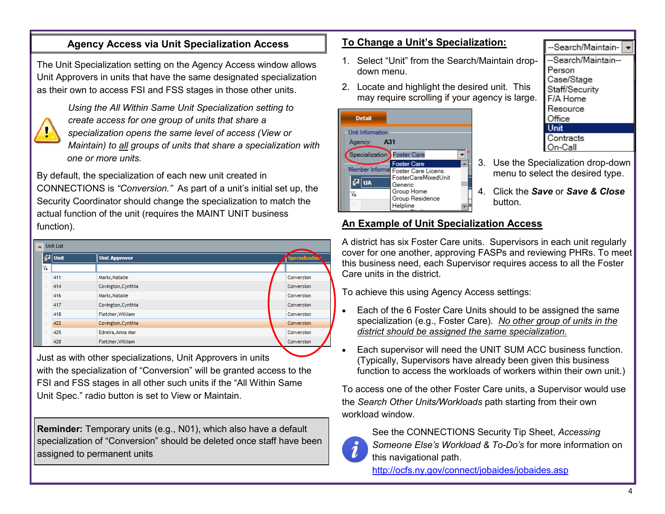## **Agency Access via Unit Specialization Access**

The Unit Specialization setting on the Agency Access window allows Unit Approvers in units that have the same designated specialization as their own to access FSI and FSS stages in those other units.



*Using the All Within Same Unit Specialization setting to create access for one group of units that share a specialization opens the same level of access (View or Maintain) to all groups of units that share a specialization with one or more units.*

By default, the specialization of each new unit created in CONNECTIONS is *"Conversion."* As part of a unit's initial set up, the Security Coordinator should change the specialization to match the actual function of the unit (requires the MAINT UNIT business function).

| $\sim$ Unit List |                    |                      |  |                       |
|------------------|--------------------|----------------------|--|-----------------------|
|                  | $\frac{3}{2}$ Unit | <b>Unit Approver</b> |  | <b>Specialization</b> |
| Y,               |                    |                      |  |                       |
|                  | 411                | Marks, Natalie       |  | Conversion            |
|                  | 414                | Covington, Cynthia   |  | Conversion            |
|                  | 416                | Marks, Natalie       |  | Conversion            |
|                  | 417                | Covington, Cynthia   |  | Conversion            |
|                  | 418                | Fletcher, William    |  | Conversion            |
|                  | 422                | Covington, Cynthia   |  | <b>Conversion</b>     |
|                  | 425                | Edreira, Anna Mar    |  | Conversion            |
|                  | 428                | Fletcher, William    |  | Conversion            |
|                  |                    |                      |  |                       |

Just as with other specializations, Unit Approvers in units with the specialization of "Conversion" will be granted access to the FSI and FSS stages in all other such units if the "All Within Same Unit Spec." radio button is set to View or Maintain.

**Reminder:** Temporary units (e.g., N01), which also have a default specialization of "Conversion" should be deleted once staff have been assigned to permanent units

#### **To Change a Unit's Specialization:**

- 1. Select "Unit" from the Search/Maintain dropdown menu.
- 2. Locate and highlight the desired unit. This may require scrolling if your agency is large.



-Search/Maintain--Search/Maintain--Person Case/Stage Staff/Security F/A Home Resource Office Unit Contracts On-Call

- 3. Use the Specialization drop-down menu to select the desired type.
- 4. Click the *Save* or *Save & Close* button.

### **An Example of Unit Specialization Access**

A district has six Foster Care units. Supervisors in each unit regularly cover for one another, approving FASPs and reviewing PHRs. To meet this business need, each Supervisor requires access to all the Foster Care units in the district.

To achieve this using Agency Access settings:

- Each of the 6 Foster Care Units should to be assigned the same specialization (e.g., Foster Care). *No other group of units in the district should be assigned the same specialization.*
- Each supervisor will need the UNIT SUM ACC business function. (Typically, Supervisors have already been given this business function to access the workloads of workers within their own unit.)

To access one of the other Foster Care units, a Supervisor would use the *Search Other Units/Workloads* path starting from their own workload window.



See the CONNECTIONS Security Tip Sheet, *Accessing Someone Else's Workload & To-Do's* for more information on this navigational path.

<http://ocfs.ny.gov/connect/jobaides/jobaides.asp>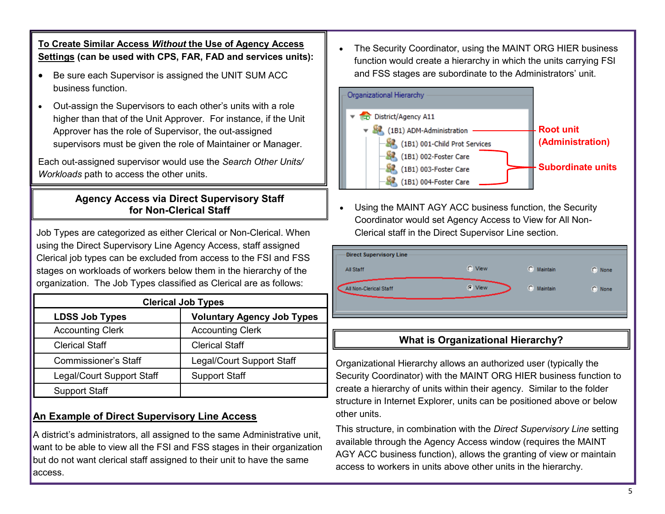**To Create Similar Access** *Without* **the Use of Agency Access Settings (can be used with CPS, FAR, FAD and services units):**

- Be sure each Supervisor is assigned the UNIT SUM ACC business function.
- Out-assign the Supervisors to each other's units with a role higher than that of the Unit Approver. For instance, if the Unit Approver has the role of Supervisor, the out-assigned supervisors must be given the role of Maintainer or Manager.

Each out-assigned supervisor would use the *Search Other Units/ Workloads* path to access the other units.

## **Agency Access via Direct Supervisory Staff for Non-Clerical Staff**

Job Types are categorized as either Clerical or Non-Clerical. When using the Direct Supervisory Line Agency Access, staff assigned Clerical job types can be excluded from access to the FSI and FSS stages on workloads of workers below them in the hierarchy of the organization. The Job Types classified as Clerical are as follows:

| <b>Clerical Job Types</b>   |                                   |  |  |
|-----------------------------|-----------------------------------|--|--|
| <b>LDSS Job Types</b>       | <b>Voluntary Agency Job Types</b> |  |  |
| <b>Accounting Clerk</b>     | <b>Accounting Clerk</b>           |  |  |
| <b>Clerical Staff</b>       | <b>Clerical Staff</b>             |  |  |
| <b>Commissioner's Staff</b> | Legal/Court Support Staff         |  |  |
| Legal/Court Support Staff   | <b>Support Staff</b>              |  |  |
| <b>Support Staff</b>        |                                   |  |  |

# **An Example of Direct Supervisory Line Access**

A district's administrators, all assigned to the same Administrative unit, want to be able to view all the FSI and FSS stages in their organization but do not want clerical staff assigned to their unit to have the same access.

 The Security Coordinator, using the MAINT ORG HIER business function would create a hierarchy in which the units carrying FSI and FSS stages are subordinate to the Administrators' unit.



 Using the MAINT AGY ACC business function, the Security Coordinator would set Agency Access to View for All Non-Clerical staff in the Direct Supervisor Line section.

| <b>Direct Supervisory Line</b> |           |                       |        |
|--------------------------------|-----------|-----------------------|--------|
| All Staff                      | C View    | C.<br>Maintain        | C None |
| All Non-Clerical Staff         | C<br>View | $\bullet$<br>Maintain | C None |
|                                |           |                       |        |

# **What is Organizational Hierarchy?**

Organizational Hierarchy allows an authorized user (typically the Security Coordinator) with the MAINT ORG HIER business function to create a hierarchy of units within their agency. Similar to the folder structure in Internet Explorer, units can be positioned above or below other units.

This structure, in combination with the *Direct Supervisory Line* setting available through the Agency Access window (requires the MAINT AGY ACC business function), allows the granting of view or maintain access to workers in units above other units in the hierarchy*.*